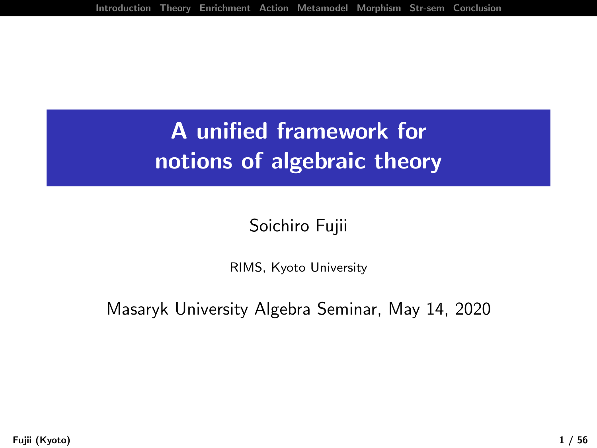# <span id="page-0-0"></span>A unified framework for notions of algebraic theory

#### Soichiro Fujii

RIMS, Kyoto University

Masaryk University Algebra Seminar, May 14, 2020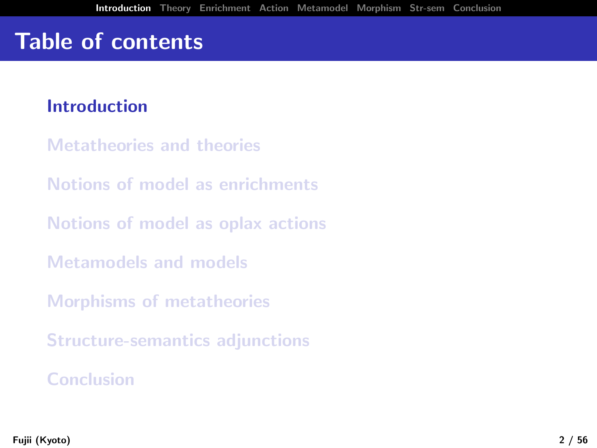# Table of contents

#### [Introduction](#page-1-0)

- [Metatheories and theories](#page-11-0)
- [Notions of model as enrichments](#page-0-0)
- [Notions of model as oplax actions](#page-0-0)
- [Metamodels and models](#page-0-0)
- [Morphisms of metatheories](#page-0-0)
- [Structure-semantics adjunctions](#page-0-0)

#### <span id="page-1-0"></span>[Conclusion](#page-0-0)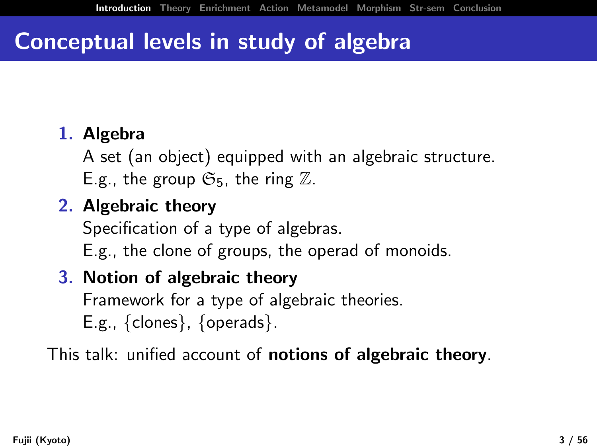## Conceptual levels in study of algebra

#### 1. Algebra

A set (an object) equipped with an algebraic structure. E.g., the group  $\mathfrak{S}_5$ , the ring  $\mathbb{Z}$ .

### 2. Algebraic theory

Specification of a type of algebras.

E.g., the clone of groups, the operad of monoids.

### 3. Notion of algebraic theory

Framework for a type of algebraic theories. E.g., {clones}, {operads}.

This talk: unified account of notions of algebraic theory.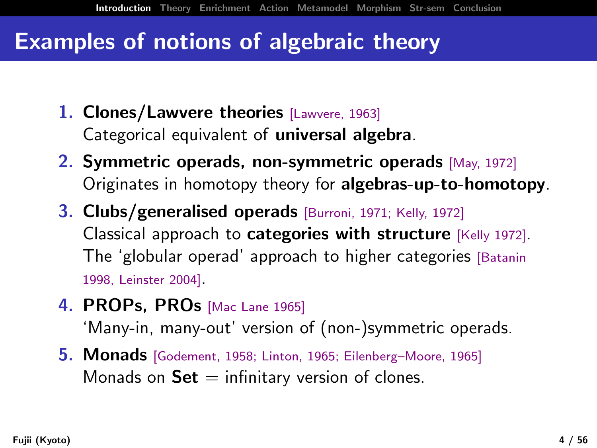## Examples of notions of algebraic theory

- 1. Clones/Lawvere theories [Lawvere, 1963] Categorical equivalent of **universal algebra**.
- 2. Symmetric operads, non-symmetric operads [May, 1972] Originates in homotopy theory for algebras-up-to-homotopy.
- 3. Clubs/generalised operads [Burroni, 1971; Kelly, 1972] Classical approach to categories with structure [Kelly 1972]. The 'globular operad' approach to higher categories [Batanin 1998, Leinster 2004].
- 4. PROPs, PROs [Mac Lane 1965]

'Many-in, many-out' version of (non-)symmetric operads.

5. Monads [Godement, 1958; Linton, 1965; Eilenberg–Moore, 1965] Monads on  $Set =$  infinitary version of clones.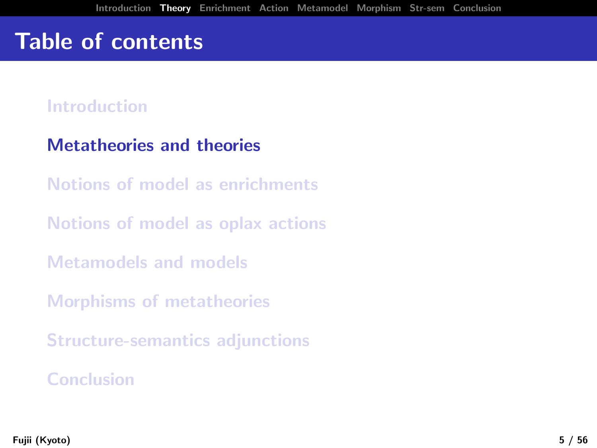## Table of contents

#### [Introduction](#page-1-0)

#### [Metatheories and theories](#page-11-0)

[Notions of model as enrichments](#page-0-0)

[Notions of model as oplax actions](#page-0-0)

[Metamodels and models](#page-0-0)

[Morphisms of metatheories](#page-0-0)

[Structure-semantics adjunctions](#page-0-0)

#### [Conclusion](#page-0-0)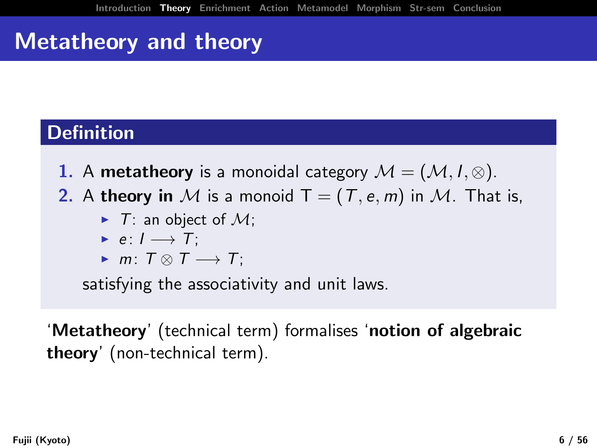# Metatheory and theory

### **Definition**

- 1. A metatheory is a monoidal category  $\mathcal{M} = (\mathcal{M}, I, \otimes)$ .
- 2. A theory in M is a monoid  $T = (T, e, m)$  in M. That is,
	- $\blacktriangleright$  T: an object of M:
	- $\triangleright$  e:  $I \rightarrow T$ ;
	- $\blacktriangleright$  m:  $T \otimes T \longrightarrow T$ ;

satisfying the associativity and unit laws.

'Metatheory' (technical term) formalises 'notion of algebraic theory' (non-technical term).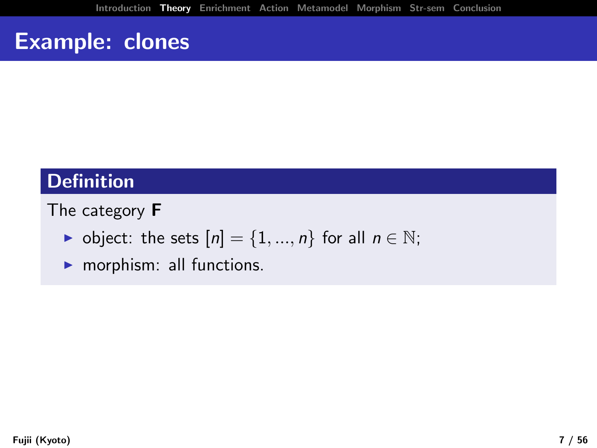### **Definition**

#### The category F

- $\triangleright$  object: the sets  $[n] = \{1, ..., n\}$  for all  $n \in \mathbb{N}$ ;
- $\blacktriangleright$  morphism: all functions.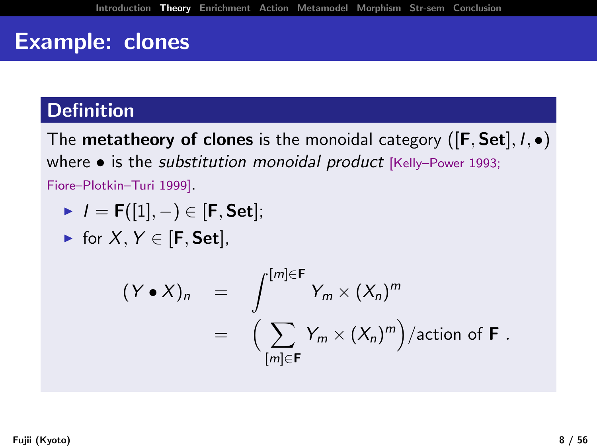### **Definition**

The **metatheory of clones** is the monoidal category ( $[F, Set]$ ,  $I, \bullet$ ) where • is the substitution monoidal product [Kelly-Power 1993; Fiore–Plotkin–Turi 1999].

$$
\quad \blacktriangleright \ \ I = \mathsf{F}([1],-)\in [\mathsf{F},\mathsf{Set}];
$$

$$
\quad \blacktriangleright \text{ for } X,Y \in [\mathbf{F},\mathbf{Set}],
$$

$$
(\mathsf{Y} \bullet \mathsf{X})_n = \int_{\lfloor m \rfloor \in \mathsf{F}}^{\lfloor m \rfloor \in \mathsf{F}} \mathsf{Y}_m \times (\mathsf{X}_n)^m
$$
  
= 
$$
\Big( \sum_{\lfloor m \rfloor \in \mathsf{F}} \mathsf{Y}_m \times (\mathsf{X}_n)^m \Big) / \text{action of } \mathsf{F}.
$$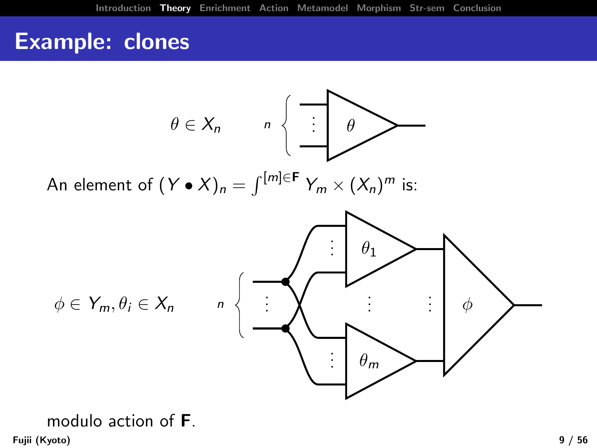

modulo action of F. Fujii (Kyoto) 9 / 56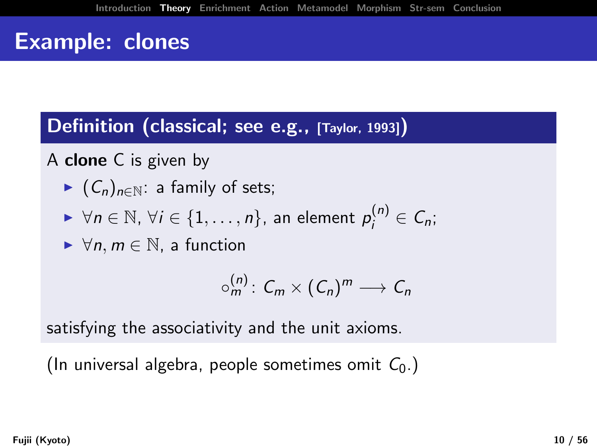Definition (classical; see e.g., [Taylor, 1993])

A clone C is given by

- $\blacktriangleright$   $(C_n)_{n \in \mathbb{N}}$ : a family of sets;
- $\blacktriangleright \forall n \in \mathbb{N}, \, \forall i \in \{1, \ldots, n\}, \text{ an element } p_i^{(n)} \in C_n;$
- $\blacktriangleright \forall n, m \in \mathbb{N}$ , a function

$$
\circ_m^{(n)}\colon C_m\times (C_n)^m\longrightarrow C_n
$$

satisfying the associativity and the unit axioms.

(In universal algebra, people sometimes omit  $C_0$ .)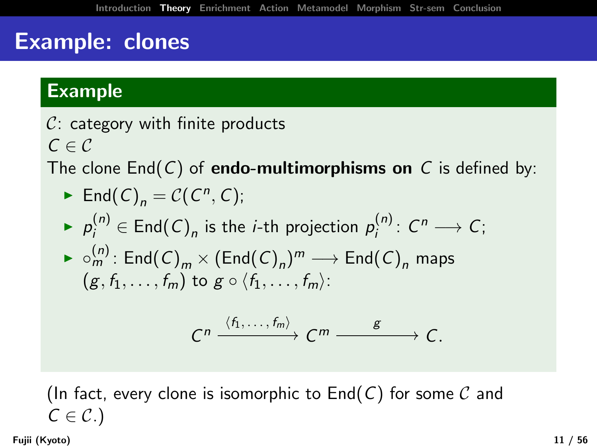### Example

 $C:$  category with finite products  $C \in \mathcal{C}$ 

The clone  $End(C)$  of **endo-multimorphisms on** C is defined by:

► End(C)<sub>n</sub> = C(C<sup>n</sup>, C);  
\n▶ 
$$
p_i^{(n)} \in End(C)_n
$$
 is the *i*-th projection  $p_i^{(n)}$ : C<sup>n</sup> → C;  
\n▶  $\circ_m^{(n)}$ : End(C)<sub>m</sub> × (End(C)<sub>n</sub>)<sup>m</sup> → End(C)<sub>n</sub> maps  
\n(g, f<sub>1</sub>,..., f<sub>m</sub>) to g ∘ (f<sub>1</sub>,..., f<sub>m</sub>):

$$
C^n \xrightarrow{\langle f_1,\ldots,f_m\rangle} C^m \xrightarrow{\hspace{1cm}g\hspace{1cm}} C.
$$

(In fact, every clone is isomorphic to  $End(C)$  for some  $C$  and  $C \in \mathcal{C}$ .

Fujii (Kyoto) 11 / 56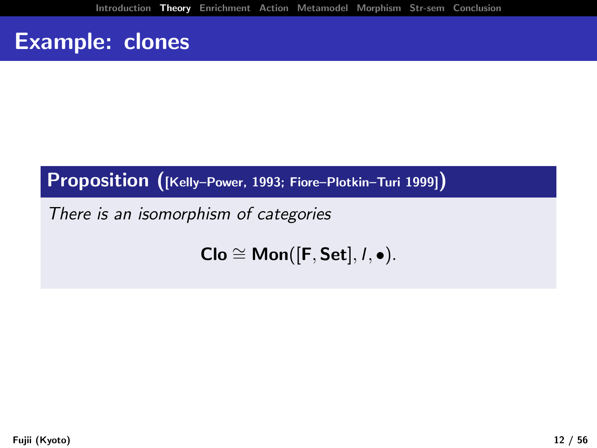### Proposition ([Kelly–Power, 1993; Fiore–Plotkin–Turi 1999])

There is an isomorphism of categories

<span id="page-11-0"></span>
$$
Clo \cong Mon([F, Set], I, \bullet).
$$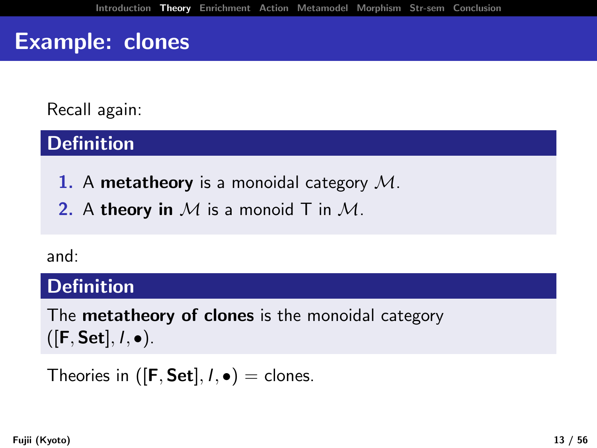Recall again:

### **Definition**

1. A metatheory is a monoidal category  $M$ .

2. A theory in  $M$  is a monoid T in  $M$ .

#### and:

#### Definition

The **metatheory of clones** is the monoidal category  $([F, Set], I, \bullet).$ 

Theories in ( $[F, Set]$ ,  $I, \bullet$ ) = clones.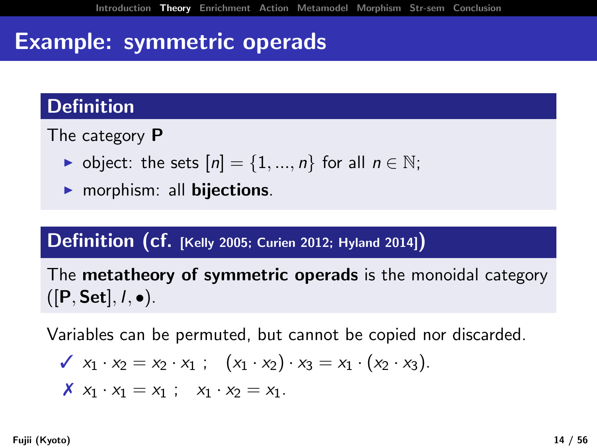## Example: symmetric operads

### **Definition**

The category P

- $\triangleright$  object: the sets  $[n] = \{1, ..., n\}$  for all  $n \in \mathbb{N}$ ;
- $\blacktriangleright$  morphism: all **bijections**.

#### Definition (cf. [Kelly 2005; Curien 2012; Hyland 2014])

The **metatheory of symmetric operads** is the monoidal category  $([P, Set], I, \bullet).$ 

Variables can be permuted, but cannot be copied nor discarded.

$$
\mathbf{X}_1 \cdot x_2 = x_2 \cdot x_1 ; \quad (x_1 \cdot x_2) \cdot x_3 = x_1 \cdot (x_2 \cdot x_3).
$$
  

$$
\mathbf{X}_1 \cdot x_1 = x_1 ; \quad x_1 \cdot x_2 = x_1.
$$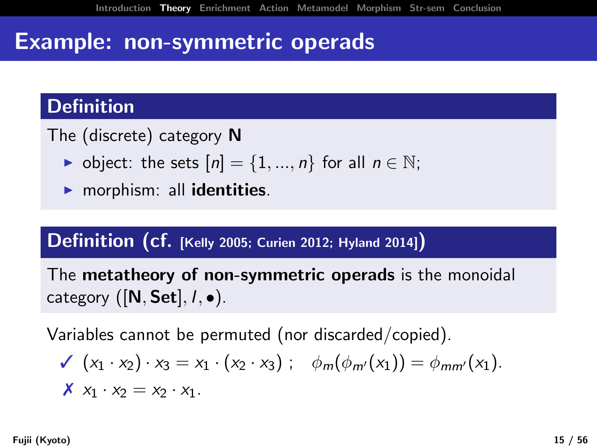## Example: non-symmetric operads

### **Definition**

The (discrete) category N

- $\triangleright$  object: the sets  $[n] = \{1, ..., n\}$  for all  $n \in \mathbb{N}$ ;
- $\blacktriangleright$  morphism: all identities.

#### Definition (cf. [Kelly 2005; Curien 2012; Hyland 2014])

The metatheory of non-symmetric operads is the monoidal category  $([N, Set], I, \bullet)$ .

Variables cannot be permuted (nor discarded/copied).

$$
\mathcal{J}(x_1 \cdot x_2) \cdot x_3 = x_1 \cdot (x_2 \cdot x_3) ; \quad \phi_m(\phi_{m'}(x_1)) = \phi_{mm'}(x_1).
$$
  

$$
\mathcal{J}(x_1 \cdot x_2 = x_2 \cdot x_1.
$$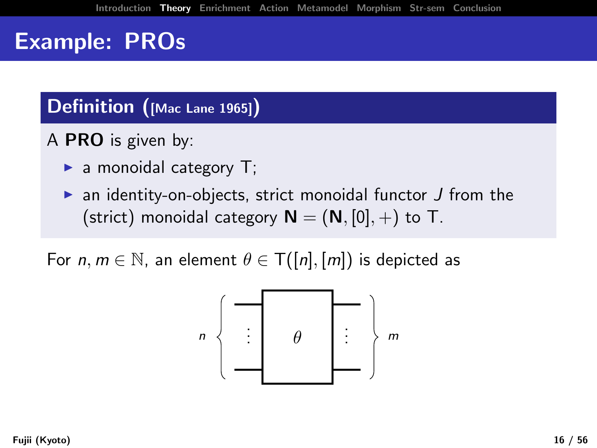#### Definition ([Mac Lane 1965])

A PRO is given by:

- $\blacktriangleright$  a monoidal category T;
- $\triangleright$  an identity-on-objects, strict monoidal functor  $J$  from the (strict) monoidal category  $N = (N, [0], +)$  to T.

For  $n, m \in \mathbb{N}$ , an element  $\theta \in T([n], [m])$  is depicted as

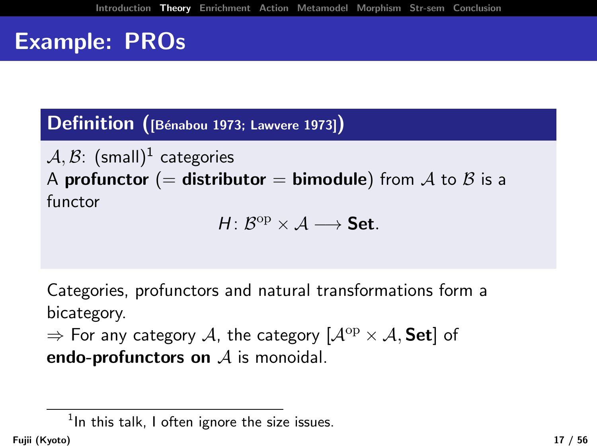Definition ([Bénabou 1973; Lawvere 1973])

 $\mathcal{A}, \mathcal{B}$ :  $(\mathsf{small})^1$  categories A profunctor (= distributor = bimodule) from A to B is a functor

 $H: \mathcal{B}^{\mathrm{op}} \times \mathcal{A} \longrightarrow$  Set.

Categories, profunctors and natural transformations form a bicategory.

 $\Rightarrow$  For any category A, the category  $[A^{op} \times A, Set]$  of endo-profunctors on  $A$  is monoidal.

 $^1$ In this talk, I often ignore the size issues.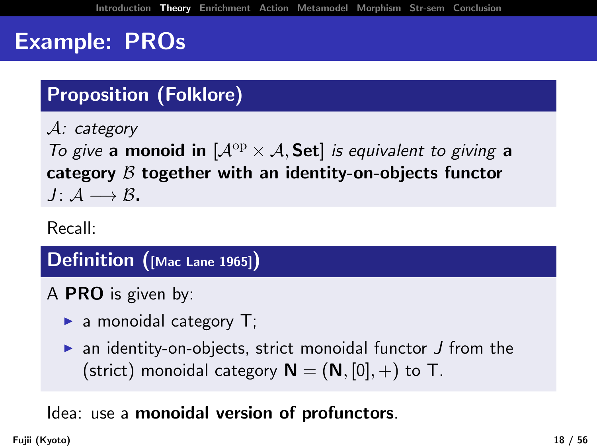# Proposition (Folklore)

A: category To give a monoid in  $[A^{op} \times A, Set]$  is equivalent to giving a category  $\beta$  together with an identity-on-objects functor  $J: \mathcal{A} \longrightarrow \mathcal{B}.$ 

Recall:

#### Definition ([Mac Lane 1965])

A PRO is given by:

- $\blacktriangleright$  a monoidal category T;
- $\triangleright$  an identity-on-objects, strict monoidal functor  $J$  from the (strict) monoidal category  $N = (N, [0], +)$  to T.

#### Idea: use a monoidal version of profunctors.

Fujii (Kyoto) 18 / 56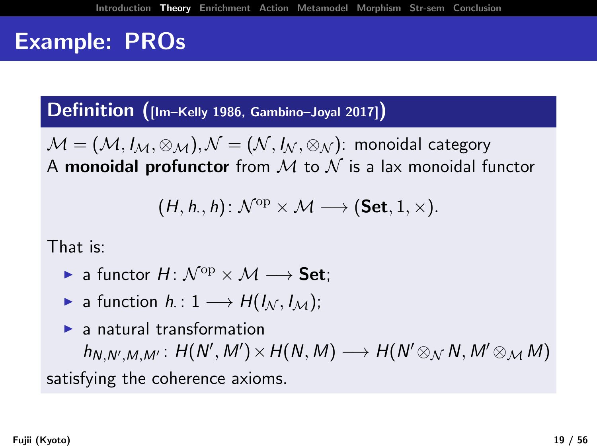Definition ([Im–Kelly 1986, Gambino–Joyal 2017])

 $\mathcal{M} = (\mathcal{M}, I_{\mathcal{M}}, \otimes_{\mathcal{M}}), \mathcal{N} = (\mathcal{N}, I_{\mathcal{N}}, \otimes_{\mathcal{N}})$ : monoidal category A monoidal profunctor from  $M$  to  $N$  is a lax monoidal functor

$$
(H,h,,h)\colon \mathcal{N}^{\mathrm{op}}\times \mathcal{M} \longrightarrow (\mathbf{Set},1,\times).
$$

That is:

- $\triangleright$  a functor  $H: \mathcal{N}^{\mathrm{op}} \times \mathcal{M} \longrightarrow$  Set:
- ► a function  $h: 1 \longrightarrow H(I_{\mathcal{N}}, I_{\mathcal{M}});$

 $\blacktriangleright$  a natural transformation  $h_{N,N',M,M'}: H(N',M') \times H(N,M) \longrightarrow H(N' \otimes_{\mathcal{N}} N, M' \otimes_{\mathcal{M}} M)$ satisfying the coherence axioms.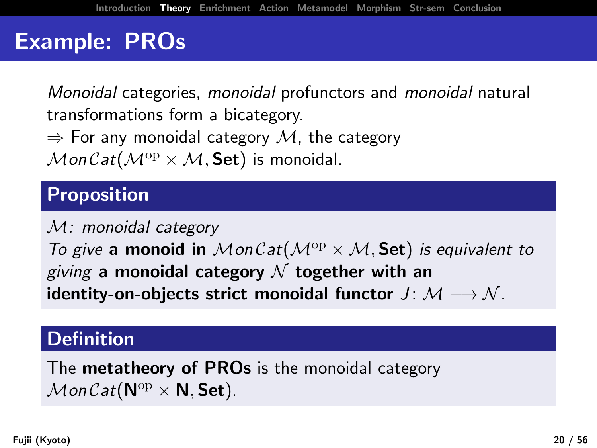Monoidal categories, monoidal profunctors and monoidal natural transformations form a bicategory.  $\Rightarrow$  For any monoidal category  $\mathcal{M}$ , the category

 $MonCat(\mathcal{M}^{op} \times \mathcal{M}, \mathsf{Set})$  is monoidal.

### Proposition

M: monoidal category

To give a monoid in MonCat( $\mathcal{M}^{op} \times \mathcal{M}$ , Set) is equivalent to giving a monoidal category  $\mathcal N$  together with an identity-on-objects strict monoidal functor  $J: \mathcal{M} \longrightarrow \mathcal{N}$ .

#### **Definition**

The **metatheory of PROs** is the monoidal category  $\mathcal{M}$ on Cat( $\mathsf{N}^{\mathrm{op}} \times \mathsf{N}$ , Set).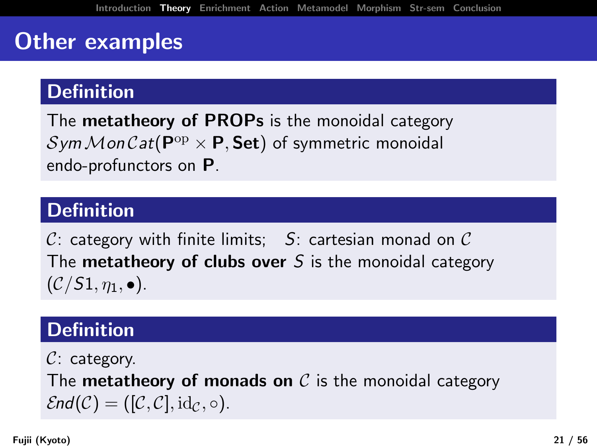## Other examples

### **Definition**

The **metatheory of PROPs** is the monoidal category  $\mathcal{Sym}\mathcal{M}$ on $\mathcal{C}\mathit{at}(\mathsf{P}^{\mathrm{op}}\times\mathsf{P},\mathsf{Set})$  of symmetric monoidal endo-profunctors on P.

### **Definition**

C: category with finite limits;  $S$ : cartesian monad on C The **metatheory of clubs over** S is the monoidal category  $(C/S1, \eta_1, \bullet).$ 

### Definition

 $C:$  category.

The **metatheory of monads on**  $\mathcal{C}$  is the monoidal category  $\mathcal{E}nd(\mathcal{C}) = ([\mathcal{C}, \mathcal{C}], \mathrm{id}_{\mathcal{C}}, \circ).$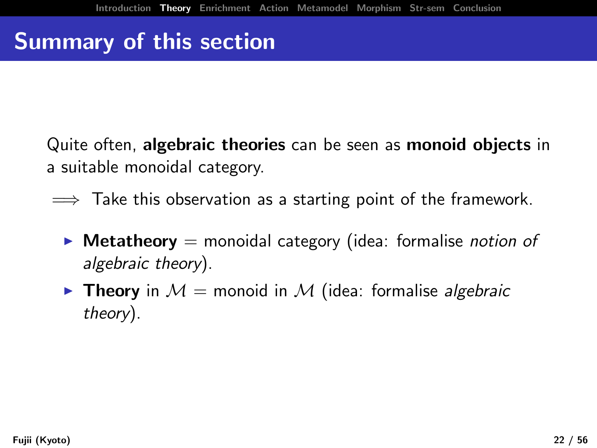# Summary of this section

Quite often, algebraic theories can be seen as monoid objects in a suitable monoidal category.

- $\implies$  Take this observation as a starting point of the framework.
	- $\triangleright$  Metatheory = monoidal category (idea: formalise *notion of* algebraic theory).
	- **Theory** in  $M =$  monoid in M (idea: formalise algebraic theory).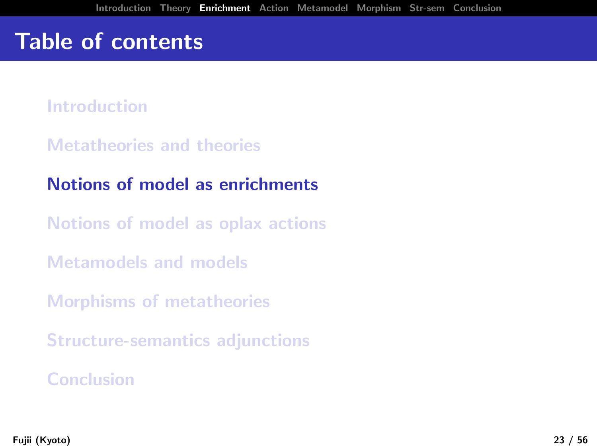## Table of contents

[Introduction](#page-1-0)

[Metatheories and theories](#page-11-0)

[Notions of model as enrichments](#page-0-0)

[Notions of model as oplax actions](#page-0-0)

[Metamodels and models](#page-0-0)

[Morphisms of metatheories](#page-0-0)

[Structure-semantics adjunctions](#page-0-0)

[Conclusion](#page-0-0)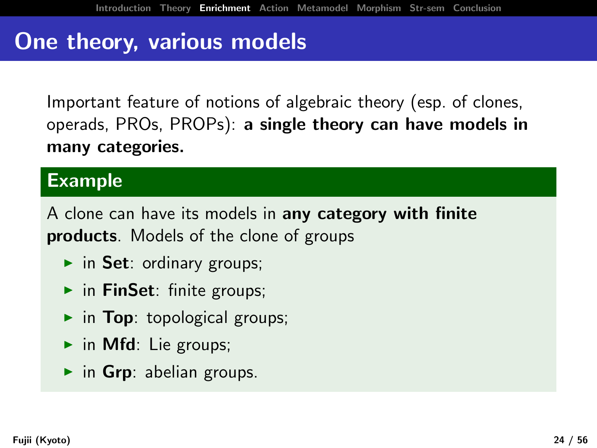## One theory, various models

Important feature of notions of algebraic theory (esp. of clones, operads, PROs, PROPs): a single theory can have models in many categories.

#### Example

A clone can have its models in any category with finite products. Models of the clone of groups

- $\triangleright$  in Set: ordinary groups;
- $\triangleright$  in FinSet: finite groups;
- $\triangleright$  in Top: topological groups;
- $\triangleright$  in Mfd: Lie groups;
- $\triangleright$  in Grp: abelian groups.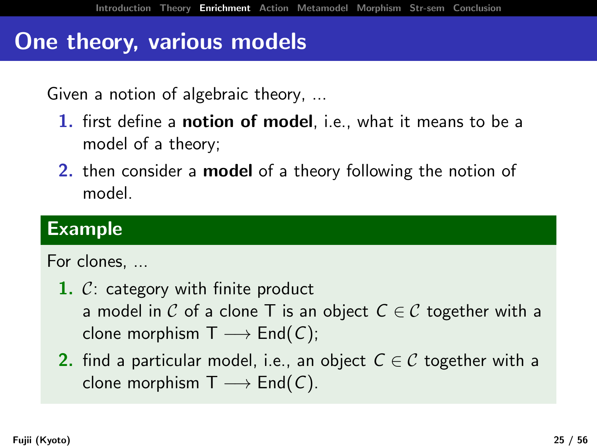## One theory, various models

Given a notion of algebraic theory, ...

- 1. first define a **notion of model**, i.e., what it means to be a model of a theory;
- 2. then consider a **model** of a theory following the notion of model.

#### Example

#### For clones, ...

- 1.  $C$ : category with finite product a model in C of a clone T is an object  $C \in \mathcal{C}$  together with a clone morphism  $T \longrightarrow End(C)$ ;
- 2. find a particular model, i.e., an object  $C \in \mathcal{C}$  together with a clone morphism  $T \longrightarrow End(C)$ .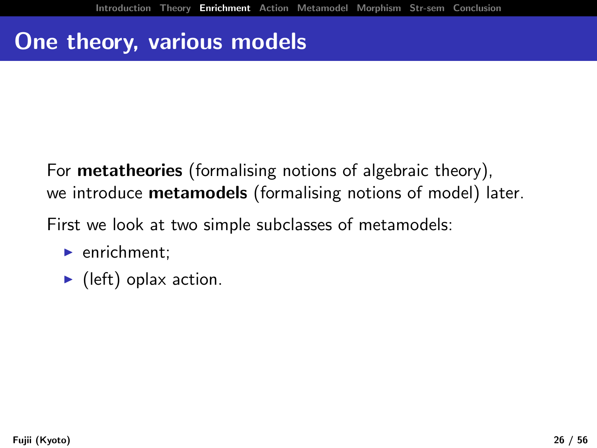## One theory, various models

For **metatheories** (formalising notions of algebraic theory), we introduce metamodels (formalising notions of model) later.

First we look at two simple subclasses of metamodels:

- $\blacktriangleright$  enrichment:
- $\blacktriangleright$  (left) oplax action.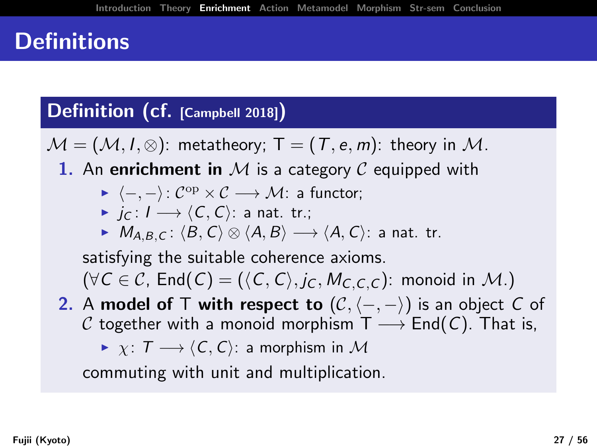# **Definitions**

#### Definition (cf. [Campbell 2018])

 $\mathcal{M} = (\mathcal{M}, I, \otimes)$ : metatheory; T =  $(T, e, m)$ : theory in M.

- 1. An enrichment in M is a category C equipped with
	- $\blacktriangleright \langle -, \rangle \colon \mathcal{C}^\mathrm{op} \times \mathcal{C} \longrightarrow \mathcal{M}$ : a functor;
	- $\triangleright$  jc :  $I \longrightarrow \langle C, C \rangle$ : a nat. tr.;
	- $M_{A,B,C}$ :  $\langle B,C\rangle \otimes \langle A,B\rangle \longrightarrow \langle A,C\rangle$ : a nat. tr.

satisfying the suitable coherence axioms.  $(\forall C \in \mathcal{C}, \text{End}(C) = (\langle C, C \rangle, j_C, M_{C, C, C})$ : monoid in M.)

- 2. A model of T with respect to  $(\mathcal{C}, \langle -, -\rangle)$  is an object C of C together with a monoid morphism  $T \longrightarrow End(C)$ . That is,
	- $\triangleright \ \chi: \ \mathcal{T} \longrightarrow \langle C, C \rangle:$  a morphism in M

commuting with unit and multiplication.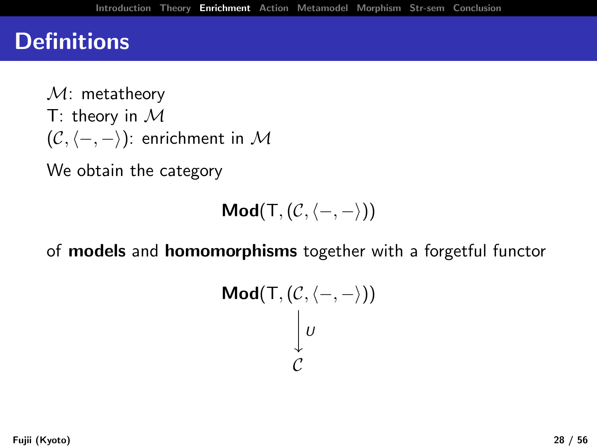### **Definitions**

 $M:$  metatheory T: theory in  $\mathcal M$  $(C, \langle -, - \rangle)$ : enrichment in M

We obtain the category

$$
\text{Mod}(T,(\mathcal{C},\langle-,-\rangle))
$$

of models and homomorphisms together with a forgetful functor

$$
\mathsf{Mod}(\mathsf{T}, (\mathcal{C}, \langle -, - \rangle))
$$

$$
\downarrow \upsilon
$$

$$
\mathcal{C}
$$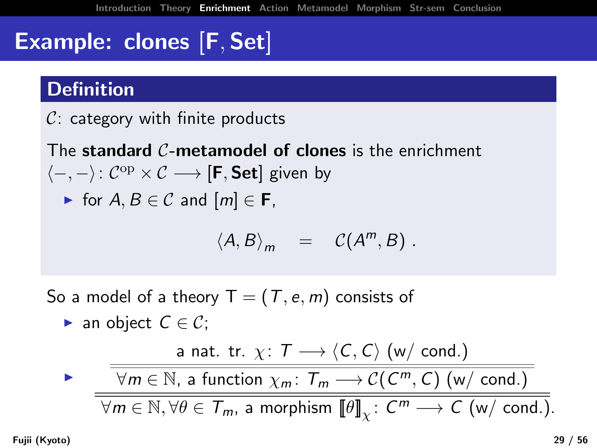# Example: clones [F, Set]

### **Definition**

 $C:$  category with finite products

The standard  $\mathcal{C}$ -metamodel of clones is the enrichment  $\langle -, - \rangle$ :  $C^{op} \times C$  → [**F**, **Set**] given by

• for 
$$
A, B \in \mathcal{C}
$$
 and  $[m] \in \mathbf{F}$ ,

$$
\langle A, B \rangle_m = C(A^m, B) .
$$

So a model of a theory  $T = (T, e, m)$  consists of ► an object  $C \in \mathcal{C}$ ;  $\blacktriangleright$ a nat. tr.  $\chi: \mathcal{T} \longrightarrow \langle C, C \rangle$  (w/ cond.)  $\forall m \in \mathbb{N}$ , a function  $\chi_m \colon \mathcal{T}_m \longrightarrow \mathcal{C}(\mathcal{C}^m,\mathcal{C})$  (w/ cond.)  $\forall m\in \mathbb{N}, \forall \theta\in \mathcal{T}_m$ , a morphism  $\llbracket \theta\rrbracket_{\chi}\colon C^m\longrightarrow C$  (w/ cond.).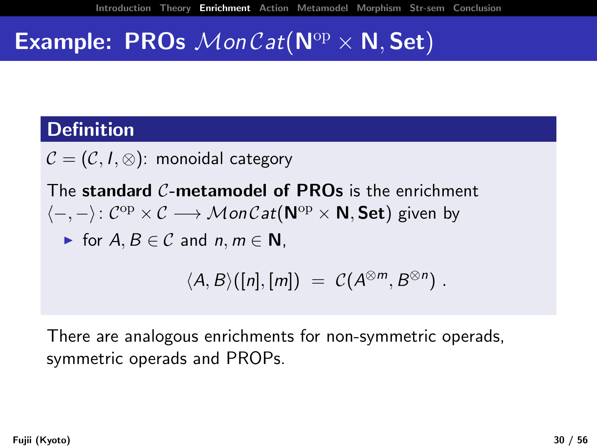## **Example: PROs**  $MonCat(\mathbf{N}^{\mathrm{op}} \times \mathbf{N}, \mathbf{Set})$

#### **Definition**

 $C = (C, I, \otimes)$ : monoidal category

The standard C-metamodel of PROs is the enrichment  $\langle -, - \rangle$ :  $C^{op} \times C \longrightarrow \mathcal{M}$ on  $\mathcal{C}at(\mathbf{N}^{op} \times \mathbf{N}, \mathbf{Set})$  given by

► for  $A, B \in \mathcal{C}$  and  $n, m \in \mathbb{N}$ ,

$$
\langle A, B \rangle([n],[m]) = C(A^{\otimes m}, B^{\otimes n}).
$$

There are analogous enrichments for non-symmetric operads, symmetric operads and PROPs.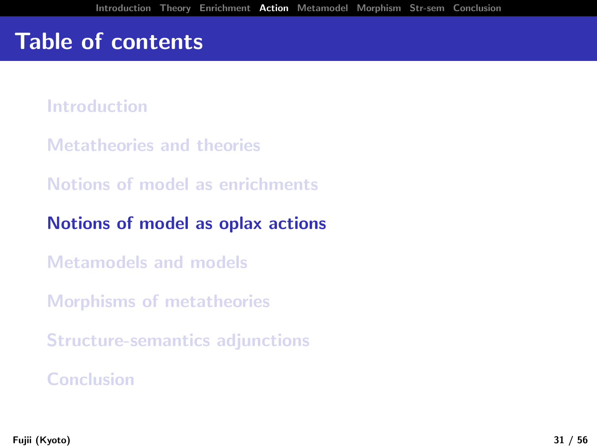## Table of contents

[Introduction](#page-1-0)

[Metatheories and theories](#page-11-0)

[Notions of model as enrichments](#page-0-0)

[Notions of model as oplax actions](#page-0-0)

[Metamodels and models](#page-0-0)

[Morphisms of metatheories](#page-0-0)

[Structure-semantics adjunctions](#page-0-0)

[Conclusion](#page-0-0)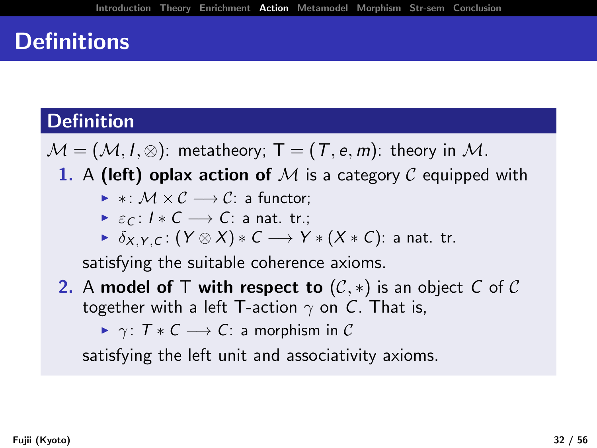## **Definitions**

### **Definition**

 $M = (M, I, \otimes)$ : metatheory; T =  $(T, e, m)$ : theory in M.

1. A (left) oplax action of M is a category C equipped with

- $\triangleright * : M \times C \longrightarrow C:$  a functor:
- $\triangleright$   $\varepsilon$ <sub>C</sub> :  $I * C \longrightarrow C$ : a nat. tr.;
- $\triangleright$   $\delta_{X,Y,C}$ :  $(Y \otimes X) * C \longrightarrow Y * (X * C)$ : a nat. tr.

satisfying the suitable coherence axioms.

2. A model of T with respect to  $(\mathcal{C},*)$  is an object C of C together with a left T-action  $\gamma$  on C. That is,

 $\triangleright \ \gamma: \ T * C \longrightarrow C:$  a morphism in C

satisfying the left unit and associativity axioms.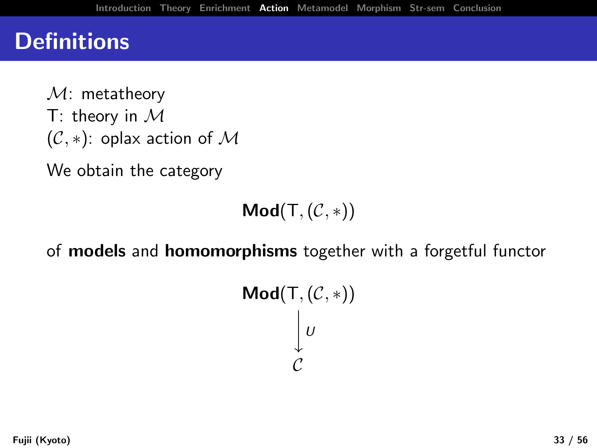## **Definitions**

 $M:$  metatheory T: theory in  $\mathcal M$  $(C, *)$ : oplax action of M

We obtain the category

 $Mod(T, (\mathcal{C}, *) )$ 

of models and homomorphisms together with a forgetful functor

$$
\mathsf{Mod}(\mathsf{T},(\mathcal{C},*))
$$
  

$$
\bigcup_{\mathcal{C}} U
$$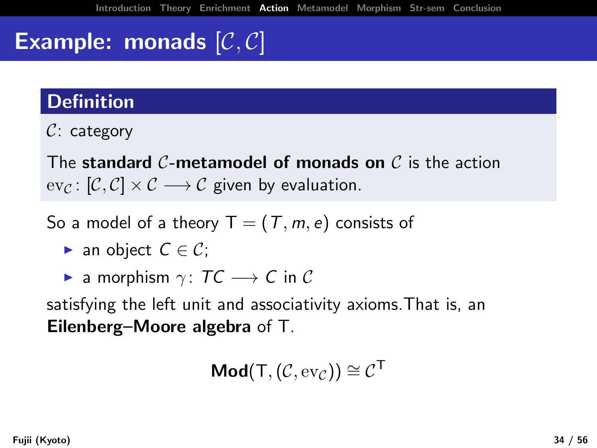# **Example: monads**  $[\mathcal{C}, \mathcal{C}]$

### **Definition**

 $C:$  category

The standard C-metamodel of monads on  $\mathcal C$  is the action  $ev_{\mathcal{C}}: [\mathcal{C}, \mathcal{C}] \times \mathcal{C} \longrightarrow \mathcal{C}$  given by evaluation.

- So a model of a theory  $T = (T, m, e)$  consists of
	- ► an object  $C \in \mathcal{C}$ ;
	- ► a morphism  $\gamma: TC \longrightarrow C$  in C

satisfying the left unit and associativity axioms.That is, an Eilenberg–Moore algebra of T.

 $\textsf{Mod}(\mathsf{T},(\mathcal{C},\text{ev}_\mathcal{C})) \cong \mathcal{C}^\mathsf{T}$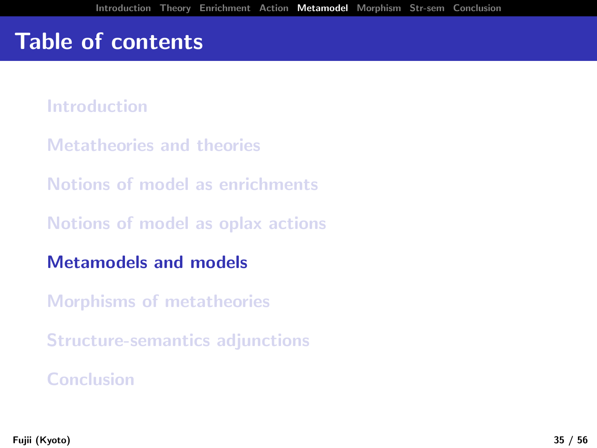## Table of contents

[Introduction](#page-1-0)

[Metatheories and theories](#page-11-0)

[Notions of model as enrichments](#page-0-0)

[Notions of model as oplax actions](#page-0-0)

[Metamodels and models](#page-0-0)

[Morphisms of metatheories](#page-0-0)

[Structure-semantics adjunctions](#page-0-0)

[Conclusion](#page-0-0)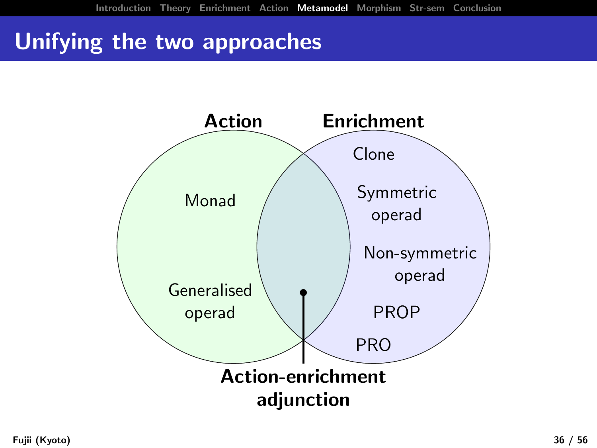# Unifying the two approaches

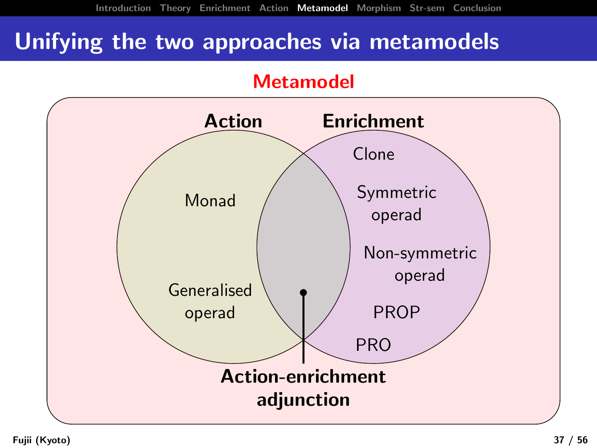## Unifying the two approaches via metamodels

#### Metamodel

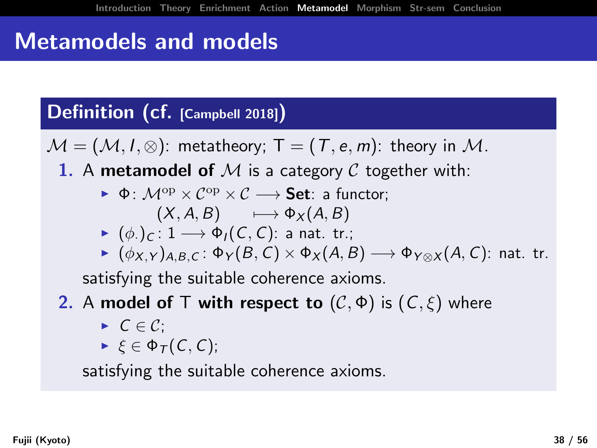# Metamodels and models

#### Definition (cf. [Campbell 2018])

 $\mathcal{M} = (\mathcal{M}, I, \otimes)$ : metatheory; T =  $(T, e, m)$ : theory in M.

- 1. A metamodel of M is a category C together with:
	- $\bullet$   $\bullet$   $\cdot$   $\mathcal{M}^{op} \times \mathcal{C} \rightarrow$  **Set**: a functor:

$$
(X, A, B) \qquad \longmapsto \Phi_X(A, B)
$$

$$
\blacktriangleright (\phi_{\cdot})_C \colon 1 \longrightarrow \Phi_I(C, C) \colon \text{a nat. tr.};
$$

 $\blacktriangleright$   $(\phi_{X,Y})_{A,B,C}$ :  $\Phi_{Y}(B,C) \times \Phi_{X}(A,B) \longrightarrow \Phi_{Y \otimes X}(A,C)$ : nat. tr.

satisfying the suitable coherence axioms.

### **2.** A model of T with respect to  $(C, \Phi)$  is  $(C, \xi)$  where

- $\triangleright$   $C \in \mathcal{C}$ ;
- $\blacktriangleright \xi \in \Phi_{\mathcal{T}}(C, C);$

satisfying the suitable coherence axioms.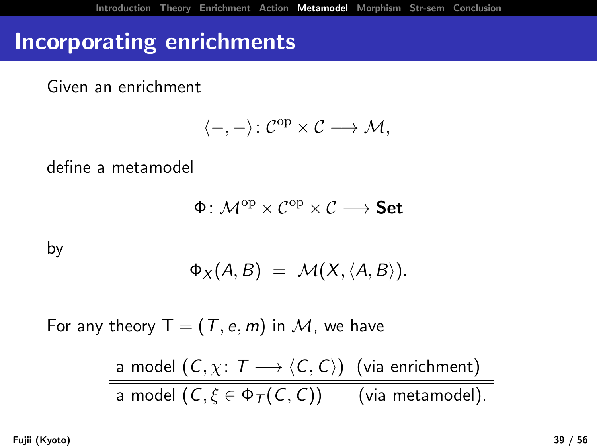## Incorporating enrichments

Given an enrichment

$$
\langle-,-\rangle\colon \mathcal{C}^{\mathrm{op}}\times \mathcal{C}\longrightarrow \mathcal{M},
$$

define a metamodel

$$
\Phi\colon \mathcal{M}^{\mathrm{op}} \times \mathcal{C}^{\mathrm{op}} \times \mathcal{C} \longrightarrow \textbf{Set}
$$

by

$$
\Phi_X(A,B) = \mathcal{M}(X,\langle A,B \rangle).
$$

For any theory  $T = (T, e, m)$  in M, we have

a model  $(C, \chi: \mathcal{T} \longrightarrow \langle C, C \rangle)$  (via enrichment) a model  $(C, \xi \in \Phi_T(C, C))$  (via metamodel).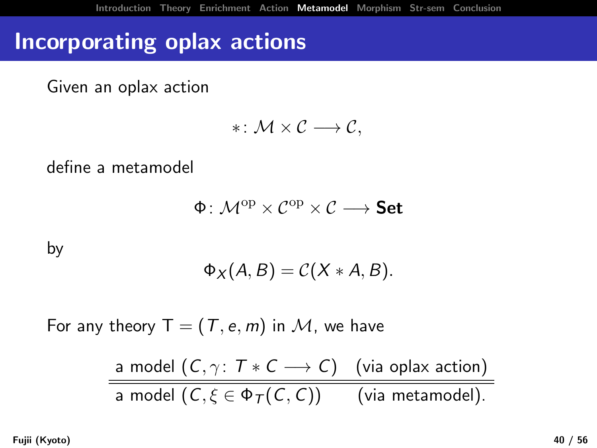## Incorporating oplax actions

Given an oplax action

$$
* \colon \mathcal{M} \times \mathcal{C} \longrightarrow \mathcal{C},
$$

define a metamodel

$$
\Phi\colon \mathcal{M}^{\mathrm{op}} \times \mathcal{C}^{\mathrm{op}} \times \mathcal{C} \longrightarrow \textbf{Set}
$$

by

$$
\Phi_X(A,B)=\mathcal{C}(X*A,B).
$$

For any theory  $T = (T, e, m)$  in M, we have

$$
\frac{\text{a model } (C, \gamma: T * C \longrightarrow C) \quad \text{(via oplax action)}}{\text{a model } (C, \xi \in \Phi_T(C, C)) \quad \text{(via metamodel).}}
$$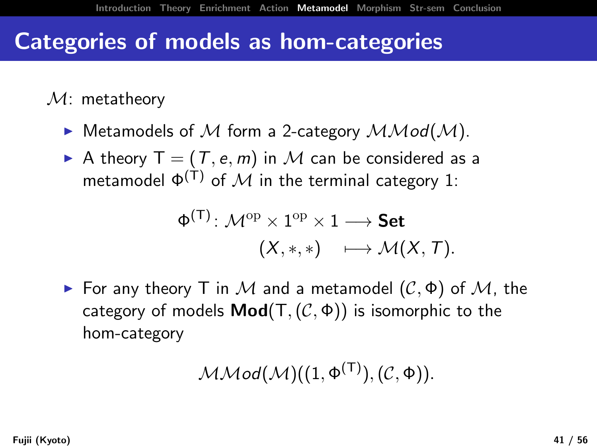### Categories of models as hom-categories

 $\mathcal{M}$ : metatheory

- $\blacktriangleright$  Metamodels of M form a 2-category  $\mathcal{MMod}(\mathcal{M})$ .
- A theory  $T = (T, e, m)$  in M can be considered as a metamodel  $\Phi^{(\dagger)}$  of M in the terminal category 1:

$$
\Phi^{(\mathsf{T})}\colon \mathcal{M}^\mathrm{op}\times 1^\mathrm{op}\times 1\longrightarrow \mathsf{Set} \newline (X,*,*)\quad \longmapsto \mathcal{M}(X,T).
$$

For any theory T in M and a metamodel  $(C, \Phi)$  of M, the category of models  $\text{Mod}(T, (\mathcal{C}, \Phi))$  is isomorphic to the hom-category

$$
\mathcal{MMod}(\mathcal{M})((1,\Phi^{(T)}),(\mathcal{C},\Phi)).
$$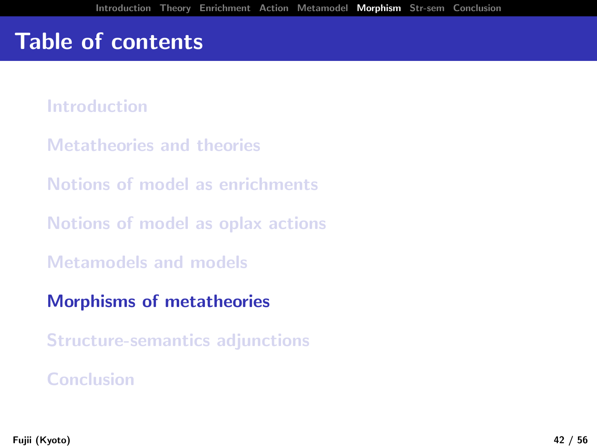## Table of contents

[Introduction](#page-1-0)

[Metatheories and theories](#page-11-0)

[Notions of model as enrichments](#page-0-0)

[Notions of model as oplax actions](#page-0-0)

[Metamodels and models](#page-0-0)

[Morphisms of metatheories](#page-0-0)

[Structure-semantics adjunctions](#page-0-0)

[Conclusion](#page-0-0)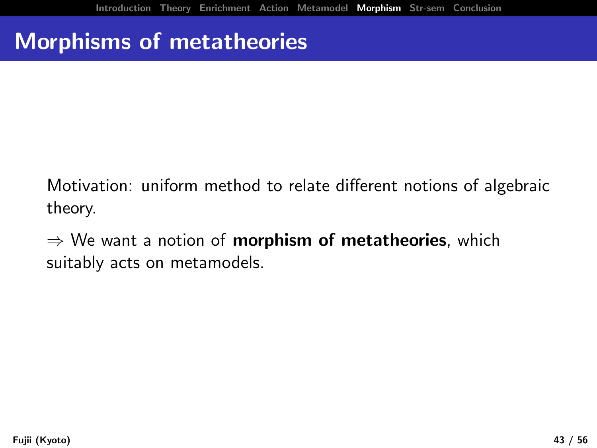# Morphisms of metatheories

Motivation: uniform method to relate different notions of algebraic theory.

 $\Rightarrow$  We want a notion of **morphism of metatheories**, which suitably acts on metamodels.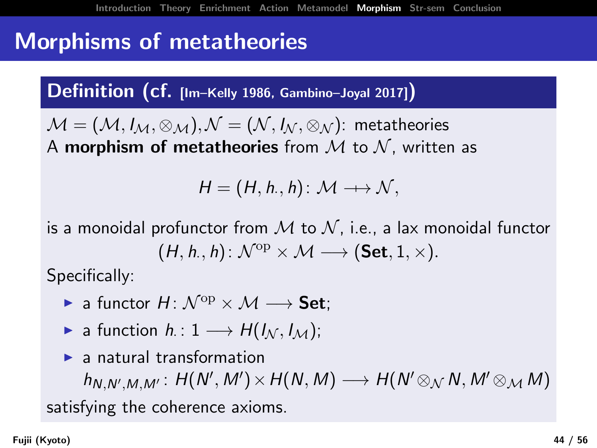## Morphisms of metatheories

Definition (cf. [Im–Kelly 1986, Gambino–Joyal 2017])

 $\mathcal{M} = (\mathcal{M}, I_{\mathcal{M}}, \otimes_{\mathcal{M}}), \mathcal{N} = (\mathcal{N}, I_{\mathcal{N}}, \otimes_{\mathcal{N}})$ : metatheories A morphism of metatheories from  $M$  to  $N$ , written as

 $H = (H, h., h): \mathcal{M} \longrightarrow \mathcal{N},$ 

is a monoidal profunctor from  $M$  to  $N$ , i.e., a lax monoidal functor  $(H, h., h): \mathcal{N}^{op} \times \mathcal{M} \longrightarrow (\mathsf{Set}, 1, \times).$ 

Specifically:

- $\triangleright$  a functor  $H: \mathcal{N}^{\mathrm{op}} \times \mathcal{M} \longrightarrow$  Set:
- ► a function  $h: 1 \longrightarrow H(I_{\mathcal{N}}, I_{\mathcal{M}});$
- $\blacktriangleright$  a natural transformation

 $h_{N,N',M,M'}: H(N',M') \times H(N,M) \longrightarrow H(N' \otimes_{\mathcal{N}} N, M' \otimes_{\mathcal{M}} M)$ satisfying the coherence axioms.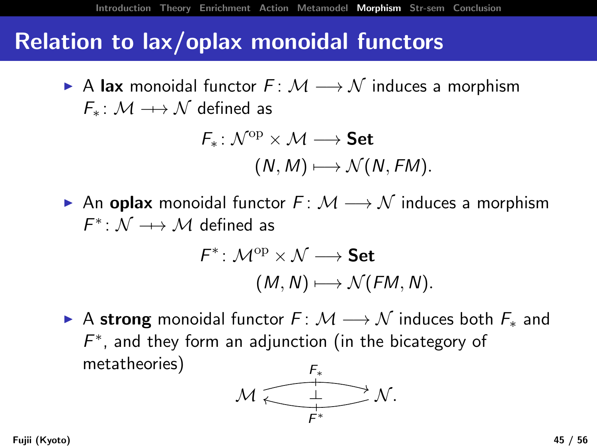### Relation to lax/oplax monoidal functors

A lax monoidal functor  $F: \mathcal{M} \longrightarrow \mathcal{N}$  induces a morphism  $F_*: \mathcal{M} \longrightarrow \mathcal{N}$  defined as

$$
\begin{aligned} \mathsf{F}_* \colon \mathcal{N}^{\mathrm{op}} &\times \mathcal{M} \longrightarrow \mathsf{Set} \\ & (N, M) &\longmapsto \mathcal{N}(N, FM). \end{aligned}
$$

An oplax monoidal functor  $F: \mathcal{M} \longrightarrow \mathcal{N}$  induces a morphism  $F^* \colon \mathcal{N} \dashrightarrow \mathcal{M}$  defined as

$$
\begin{aligned} \mathsf{F}^* \colon \mathcal{M}^\mathrm{op} \times \mathcal{N} &\longrightarrow \mathsf{Set} \\ (M,N) &\longmapsto \mathcal{N}(\mathit{FM},N). \end{aligned}
$$

A strong monoidal functor  $F: \mathcal{M} \longrightarrow \mathcal{N}$  induces both  $F_*$  and  $F^*$ , and they form an adjunction (in the bicategory of metatheories)

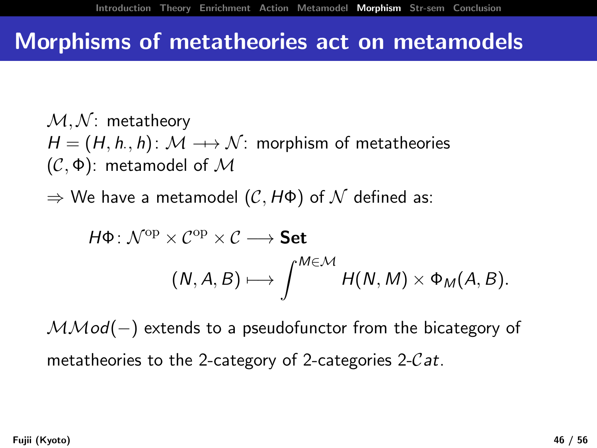### Morphisms of metatheories act on metamodels

 $M, N$ : metatheory  $\mathcal{H} = (\mathcal{H}, \mathit{h}_\cdot, \mathit{h}) \colon \mathcal{M} \dashrightarrow \mathcal{N}$ : morphism of metatheories (C, Φ): metamodel of M

 $\Rightarrow$  We have a metamodel  $(C, H\Phi)$  of  $\mathcal N$  defined as:

$$
H\Phi\colon \mathcal{N}^{\text{op}} \times \mathcal{C}^{\text{op}} \times \mathcal{C} \longrightarrow \textbf{Set}
$$

$$
(N, A, B) \longmapsto \int^{M \in \mathcal{M}} H(N, M) \times \Phi_M(A, B).
$$

 $MMod(-)$  extends to a pseudofunctor from the bicategory of metatheories to the 2-category of 2-categories 2-Cat.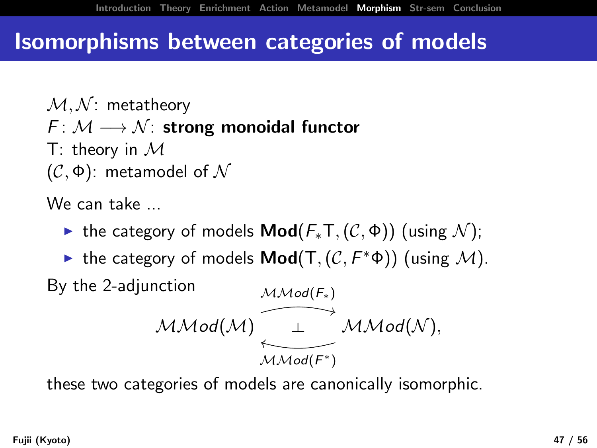## Isomorphisms between categories of models

 $M, N$ : metatheory  $F: \mathcal{M} \longrightarrow \mathcal{N}$ : strong monoidal functor T: theory in  $\mathcal M$  $(C, \Phi)$ : metamodel of  $\mathcal N$ 

We can take ...

- $\triangleright$  the category of models **Mod**( $F_*T$ , ( $C$ ,  $\Phi$ )) (using N);
- ► the category of models  $\textsf{Mod}(T, (\mathcal{C}, F^*\Phi))$  (using  $\mathcal{M}$ ). By the 2-adjunction  $MMod(F_*)$

$$
\mathcal{MMod}(\mathcal{M}) \stackrel{\simeq}{\underset{\mathcal{MMod}(F^*)}{\longleftarrow}} \mathcal{MMod}(\mathcal{N}),
$$

these two categories of models are canonically isomorphic.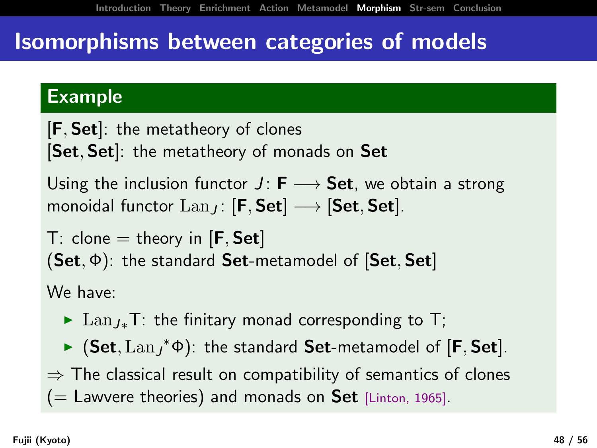## Isomorphisms between categories of models

#### Example

[F, Set]: the metatheory of clones [Set, Set]: the metatheory of monads on Set

Using the inclusion functor  $J: F \longrightarrow$  Set, we obtain a strong monoidal functor  $\text{Lan}_I$ : [F, Set]  $\longrightarrow$  [Set, Set].

T: clone  $=$  theory in [**F**, **Set**]  $(Set, \Phi)$ : the standard Set-metamodel of  $[Set, Set]$ 

We have:

- ► Lan<sub>J\*</sub>T: the finitary monad corresponding to T;
- ►  $(Set, Lan_J^*\Phi)$ : the standard Set-metamodel of  $[F, Set]$ .

 $\Rightarrow$  The classical result on compatibility of semantics of clones  $($  = Lawvere theories) and monads on Set [Linton, 1965].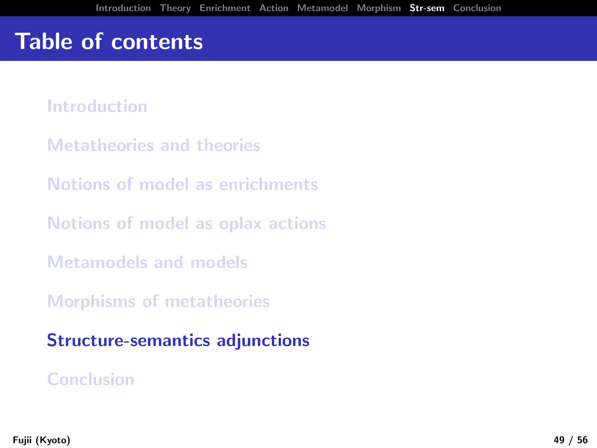# Table of contents

[Introduction](#page-1-0)

- [Metatheories and theories](#page-11-0)
- [Notions of model as enrichments](#page-0-0)
- [Notions of model as oplax actions](#page-0-0)
- [Metamodels and models](#page-0-0)
- [Morphisms of metatheories](#page-0-0)

[Structure-semantics adjunctions](#page-0-0)

#### [Conclusion](#page-0-0)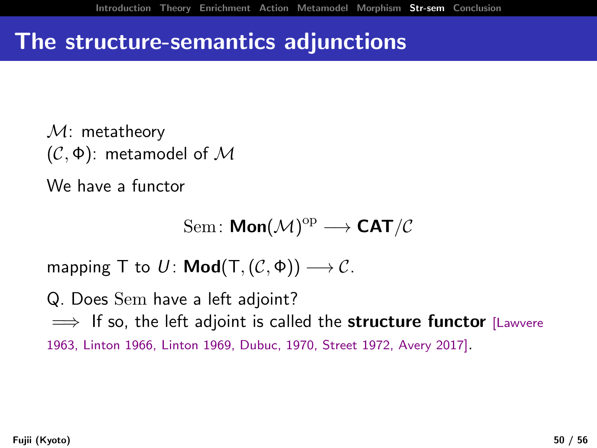## The structure-semantics adjunctions

 $M:$  metatheory (C, Φ): metamodel of M

We have a functor

$$
\mathrm{Sem}\colon \textsf{Mon}(\mathcal{M})^{\mathrm{op}}\longrightarrow \textsf{CAT}/\mathcal{C}
$$

mapping T to  $U: \text{Mod}(T, (\mathcal{C}, \Phi)) \longrightarrow \mathcal{C}$ .

Q. Does Sem have a left adjoint?  $\implies$  If so, the left adjoint is called the structure functor [Lawvere 1963, Linton 1966, Linton 1969, Dubuc, 1970, Street 1972, Avery 2017].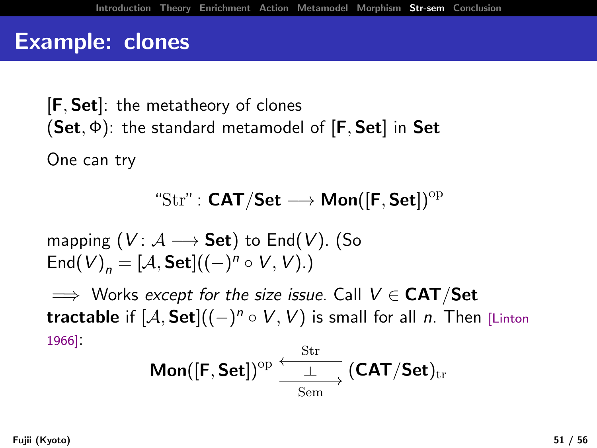$[F, Set]$ : the metatheory of clones  $(Set, \Phi)$ : the standard metamodel of  $[F, Set]$  in Set

One can try

$$
\text{``Str": CAT/Set} \longrightarrow \text{Mon}([F, \text{Set}])^{\mathrm{op}}
$$

mapping  $(V: \mathcal{A} \longrightarrow$  Set) to End(V). (So  $\mathsf{End}(V)_n = [\mathcal{A},\mathsf{Set}]((-)^n \circ V, V)$ .)

 $\implies$  Works except for the size issue. Call  $V \in \mathbf{CAT}/\mathbf{Set}$ tractable if  $[{\cal A}, {\sf Set}] ((-)^n \circ V, V)$  is small for all n. Then [Linton 1966]:

$$
\textsf{Mon}([\textsf{F},\textsf{Set}])^{\mathrm{op}}\xrightarrow[\textsf{Sem}]{\textsf{Str}}(\textsf{CAT}/\textsf{Set})_{\mathrm{tr}}
$$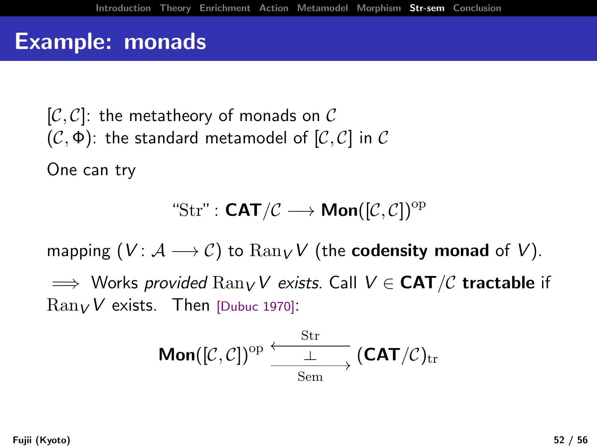## Example: monads

 $[\mathcal{C}, \mathcal{C}]$ : the metatheory of monads on  $\mathcal C$  $(C, \Phi)$ : the standard metamodel of  $[C, C]$  in C

One can try

$$
\text{``Str": } \text{CAT}/\mathcal{C} \longrightarrow \text{Mon}([\mathcal{C}, \mathcal{C}])^{\text{op}}
$$

mapping  $(V: \mathcal{A} \longrightarrow \mathcal{C})$  to  $\text{Ran}_V V$  (the **codensity monad** of V).

 $\implies$  Works provided  $\text{Ran}_V V$  exists. Call  $V \in \text{CAT}/\mathcal{C}$  tractable if  $\text{Ran}_V V$  exists. Then [Dubuc 1970]:

$$
\text{Mon}([\mathcal{C},\mathcal{C}])^{\mathrm{op}}\xrightarrow[\text{Sem}]{\mathrm{Str}}(\text{CAT}/\mathcal{C})_{\mathrm{tr}}
$$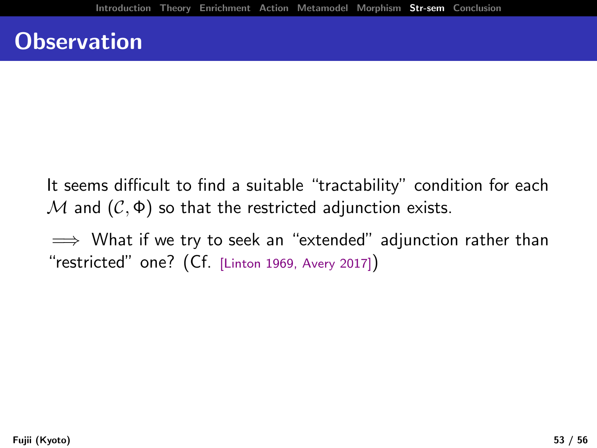## **Observation**

- It seems difficult to find a suitable "tractability" condition for each  $M$  and  $(C, \Phi)$  so that the restricted adjunction exists.
- $\implies$  What if we try to seek an "extended" adjunction rather than "restricted" one? (Cf. [Linton 1969, Avery 2017])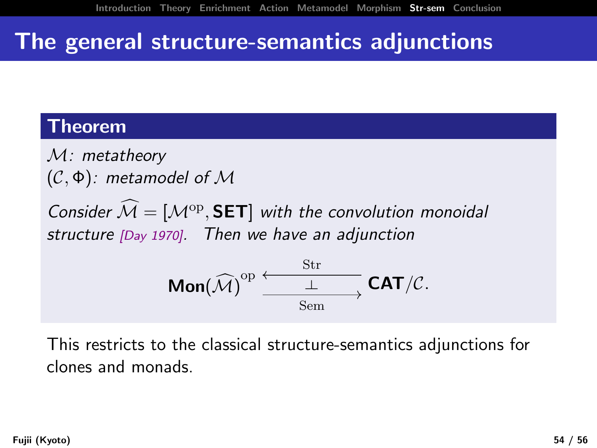## The general structure-semantics adjunctions

#### Theorem

M: metatheory  $(C, \Phi)$ : metamodel of M

Consider  $\mathcal{M} = [\mathcal{M}^{op}, \mathsf{SET}]$  with the convolution monoidal structure [Day 1970]. Then we have an adjunction

$$
\text{Mon}(\widehat{\mathcal{M}})^{\text{op}}\xrightarrow[\text{Sem}]{\text{Str}} \text{CAT}/\mathcal{C}.
$$

This restricts to the classical structure-semantics adjunctions for clones and monads.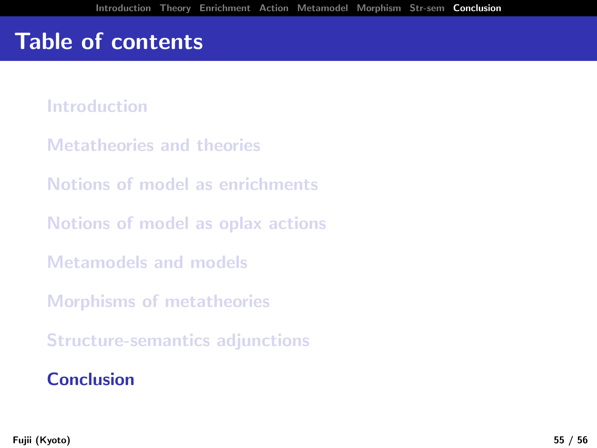# Table of contents

[Introduction](#page-1-0)

- [Metatheories and theories](#page-11-0)
- [Notions of model as enrichments](#page-0-0)
- [Notions of model as oplax actions](#page-0-0)
- [Metamodels and models](#page-0-0)
- [Morphisms of metatheories](#page-0-0)
- [Structure-semantics adjunctions](#page-0-0)

#### [Conclusion](#page-0-0)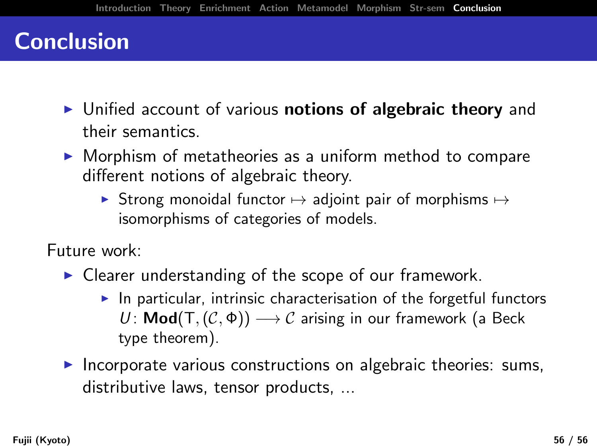## **Conclusion**

- $\triangleright$  Unified account of various notions of algebraic theory and their semantics.
- $\triangleright$  Morphism of metatheories as a uniform method to compare different notions of algebraic theory.
	- ▶ Strong monoidal functor  $\mapsto$  adjoint pair of morphisms  $\mapsto$ isomorphisms of categories of models.

Future work:

- $\triangleright$  Clearer understanding of the scope of our framework.
	- $\blacktriangleright$  In particular, intrinsic characterisation of the forgetful functors U: **Mod**(T,  $(C, \Phi)$ )  $\longrightarrow$  C arising in our framework (a Beck type theorem).
- $\triangleright$  Incorporate various constructions on algebraic theories: sums, distributive laws, tensor products, ...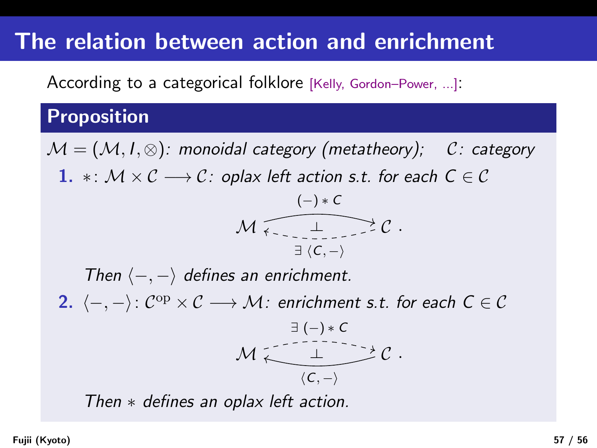# The relation between action and enrichment

According to a categorical folklore [Kelly, Gordon–Power, ...]:

#### Proposition

 $M = (M, I, \otimes)$ : monoidal category (metatheory); C: category 1.  $\ast: \mathcal{M} \times \mathcal{C} \longrightarrow \mathcal{C}$ : oplax left action s.t. for each  $C \in \mathcal{C}$  $M_{\text{max}}$   $\perp$   $\geq$   $\mathcal{C}$ .  $(-) * C$  $\exists \langle C, -\rangle$ Then  $\langle -, - \rangle$  defines an enrichment. 2.  $\langle -, - \rangle$ :  $C^{op} \times C$  →  $\mathcal{M}$ : enrichment s.t. for each  $C \in \mathcal{C}$  $M \begin{array}{c} 1 \longrightarrow C \end{array}$ .  $\exists$  (-)  $*$  C  $\langle C, -\rangle$ Then ∗ defines an oplax left action.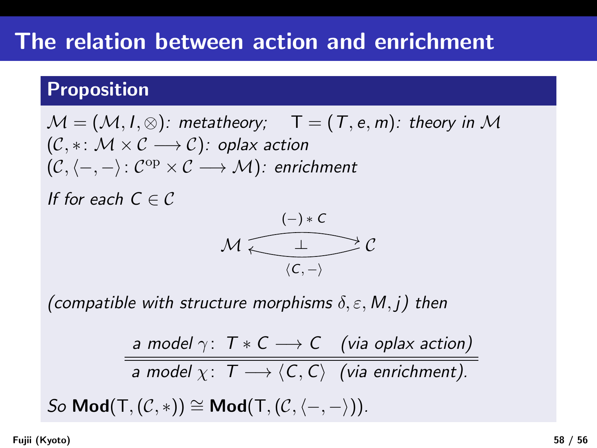# The relation between action and enrichment

#### Proposition

$$
\mathcal{M} = (\mathcal{M}, I, \otimes): \text{ metatheory}; \quad T = (T, e, m): \text{ theory in } \mathcal{M}
$$
  

$$
(\mathcal{C}, *: \mathcal{M} \times \mathcal{C} \longrightarrow \mathcal{C}): \text{ oplax action}
$$
  

$$
(\mathcal{C}, \langle -, - \rangle: \mathcal{C}^{\text{op}} \times \mathcal{C} \longrightarrow \mathcal{M}): \text{ enrichment}
$$

If for each  $C \in \mathcal{C}$ 

$$
\mathcal{M} \xleftarrow{\begin{array}{c}\left(-\right) * C \\ \hline \\ \left\langle C,-\right\rangle\end{array}} \mathcal{C}
$$

(compatible with structure morphisms  $\delta, \varepsilon, M, j$ ) then

a model 
$$
\gamma
$$
:  $T * C \longrightarrow C$  (via oplax action)  
a model  $\chi$ :  $T \longrightarrow \langle C, C \rangle$  (via enrichment).

So Mod(T, $(C, *)$ ) ≅ Mod(T, $(C, \langle -, - \rangle)$ ).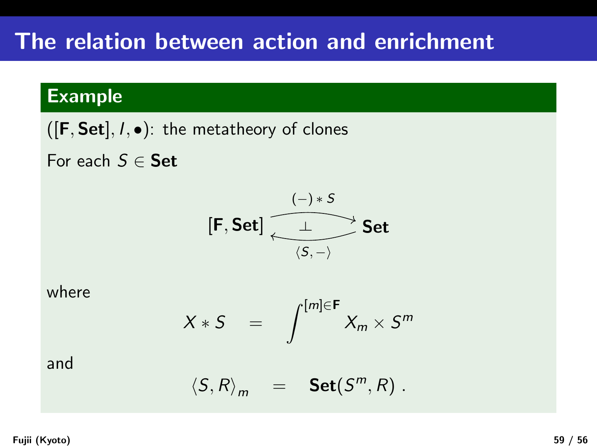#### Example

 $([F, Set], I, \bullet)$ : the metatheory of clones

For each  $S \in$  Set



where

$$
X * S = \int^{[m] \in \mathsf{F}} X_m \times S^m
$$

#### and

$$
\langle S, R \rangle_m = \text{Set}(S^m, R) .
$$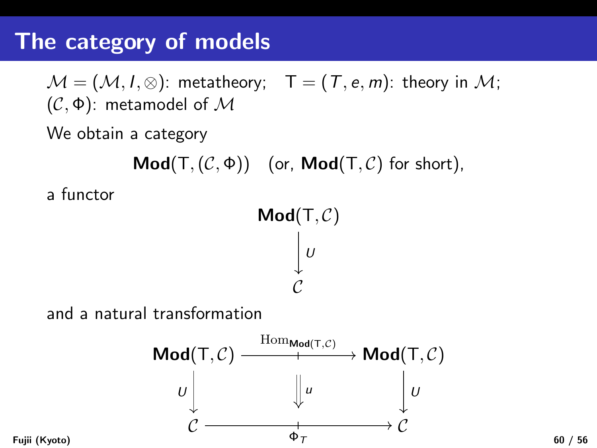# The category of models

 $\mathcal{M} = (\mathcal{M}, I, \otimes)$ : metatheory;  $T = (T, e, m)$ : theory in  $\mathcal{M}$ ; (C, Φ): metamodel of M

We obtain a category

 $\mathsf{Mod}(T,(\mathcal{C},\Phi))$  (or,  $\mathsf{Mod}(T,\mathcal{C})$  for short),

a functor

 $\mathsf{Mod}(\mathsf{T}, \mathcal{C})$  $\mathcal{C}_{0}^{0}$  $\vert \overline{U}$ 

and a natural transformation

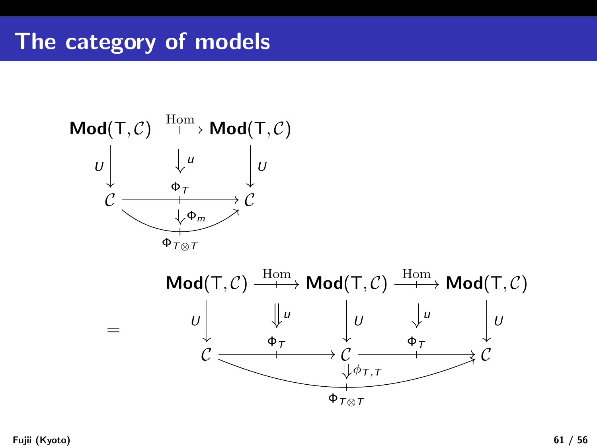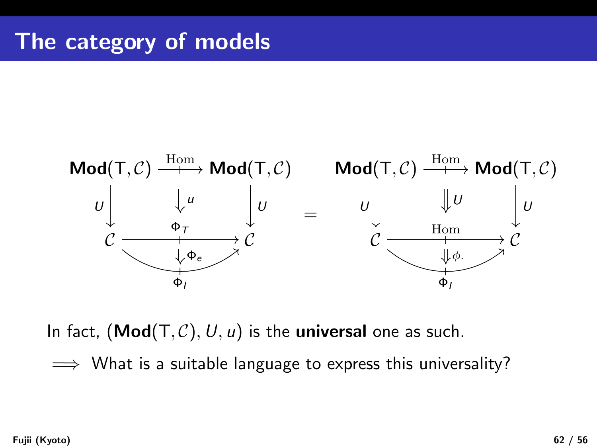

In fact,  $(\text{Mod}(T, C), U, u)$  is the universal one as such.

 $\implies$  What is a suitable language to express this universality?